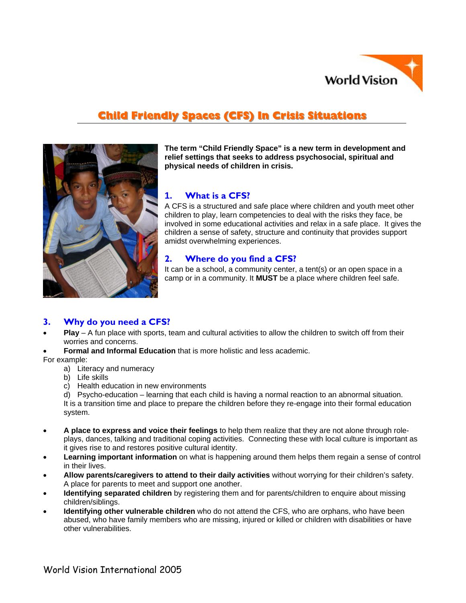

# **Child Friendly Spaces (CFS) In Crisis Situations**



**The term "Child Friendly Space" is a new term in development and relief settings that seeks to address psychosocial, spiritual and physical needs of children in crisis.** 

# **1. What is a CFS?**

involved in some educational activities and relax in a safe place. It gives the A CFS is a structured and safe place where children and youth meet other children to play, learn competencies to deal with the risks they face, be children a sense of safety, structure and continuity that provides support amidst overwhelming experiences.

# **2. Where do you find a CFS?**

It can be a school, a community center, a tent(s) or an open space in a camp or in a community. It **MUST** be a place where children feel safe.

# **3. Why do you need a CFS?**

- **Play** A fun place with sports, team and cultural activities to allow the children to switch off from their worries and concerns.
- **Formal and Informal Education** that is more holistic and less academic.

For example:

- a) Literacy and numeracy
- b) Life skills
- c) Health education in new environments

d) Psycho-education – learning that each child is having a normal reaction to an abnormal situation. It is a transition time and place to prepare the children before they re-engage into their formal education system.

- **A place to express and voice their feelings** to help them realize that they are not alone through roleplays, dances, talking and traditional coping activities. Connecting these with local culture is important as it gives rise to and restores positive cultural identity.
- **Learning important information** on what is happening around them helps them regain a sense of control in their lives.
- **Allow parents/caregivers to attend to their daily activities** without worrying for their children's safety. A place for parents to meet and support one another.
- **Identifying separated children** by registering them and for parents/children to enquire about missing children/siblings.
- **Identifying other vulnerable children** who do not attend the CFS, who are orphans, who have been abused, who have family members who are missing, injured or killed or children with disabilities or have other vulnerabilities.